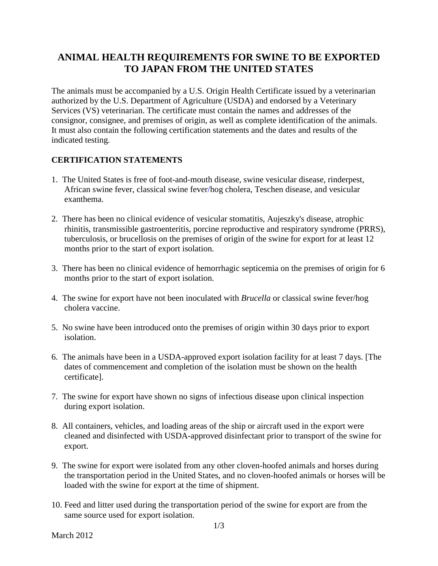# **ANIMAL HEALTH REQUIREMENTS FOR SWINE TO BE EXPORTED TO JAPAN FROM THE UNITED STATES**

The animals must be accompanied by a U.S. Origin Health Certificate issued by a veterinarian authorized by the U.S. Department of Agriculture (USDA) and endorsed by a Veterinary Services (VS) veterinarian. The certificate must contain the names and addresses of the consignor, consignee, and premises of origin, as well as complete identification of the animals. It must also contain the following certification statements and the dates and results of the indicated testing.

# **CERTIFICATION STATEMENTS**

- 1. The United States is free of foot-and-mouth disease, swine vesicular disease, rinderpest, African swine fever, classical swine fever/hog cholera, Teschen disease, and vesicular exanthema.
- 2. There has been no clinical evidence of vesicular stomatitis, Aujeszky's disease, atrophic rhinitis, transmissible gastroenteritis, porcine reproductive and respiratory syndrome (PRRS), tuberculosis, or brucellosis on the premises of origin of the swine for export for at least 12 months prior to the start of export isolation.
- 3. There has been no clinical evidence of hemorrhagic septicemia on the premises of origin for 6 months prior to the start of export isolation.
- 4. The swine for export have not been inoculated with *Brucella* or classical swine fever/hog cholera vaccine.
- 5. No swine have been introduced onto the premises of origin within 30 days prior to export isolation.
- 6. The animals have been in a USDA-approved export isolation facility for at least 7 days. [The dates of commencement and completion of the isolation must be shown on the health certificate].
- 7. The swine for export have shown no signs of infectious disease upon clinical inspection during export isolation.
- 8. All containers, vehicles, and loading areas of the ship or aircraft used in the export were cleaned and disinfected with USDA-approved disinfectant prior to transport of the swine for export.
- 9. The swine for export were isolated from any other cloven-hoofed animals and horses during the transportation period in the United States, and no cloven-hoofed animals or horses will be loaded with the swine for export at the time of shipment.
- 10. Feed and litter used during the transportation period of the swine for export are from the same source used for export isolation.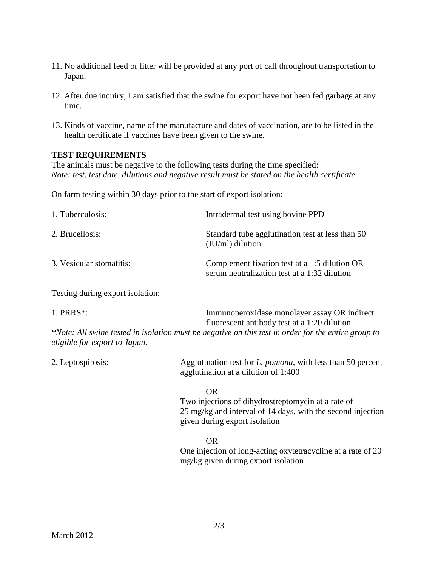- 11. No additional feed or litter will be provided at any port of call throughout transportation to Japan.
- 12. After due inquiry, I am satisfied that the swine for export have not been fed garbage at any time.
- 13. Kinds of vaccine, name of the manufacture and dates of vaccination, are to be listed in the health certificate if vaccines have been given to the swine.

### **TEST REQUIREMENTS**

The animals must be negative to the following tests during the time specified: *Note: test, test date, dilutions and negative result must be stated on the health certificate*

#### On farm testing within 30 days prior to the start of export isolation:

| 1. Tuberculosis:         | Intradermal test using bovine PPD                                                             |
|--------------------------|-----------------------------------------------------------------------------------------------|
| 2. Brucellosis:          | Standard tube agglutination test at less than 50<br>$(IU/ml)$ dilution                        |
| 3. Vesicular stomatitis: | Complement fixation test at a 1:5 dilution OR<br>serum neutralization test at a 1:32 dilution |

### Testing during export isolation:

| $1.$ PRRS $*$ : | Immunoperoxidase monolayer assay OR indirect |
|-----------------|----------------------------------------------|
|                 | fluorescent antibody test at a 1:20 dilution |

*\*Note: All swine tested in isolation must be negative on this test in order for the entire group to eligible for export to Japan.*

| 2. Leptospirosis: | Agglutination test for <i>L. pomona</i> , with less than 50 percent |
|-------------------|---------------------------------------------------------------------|
|                   | agglutination at a dilution of 1:400                                |

#### OR

Two injections of dihydrostreptomycin at a rate of 25 mg/kg and interval of 14 days, with the second injection given during export isolation

### OR

One injection of long-acting oxytetracycline at a rate of 20 mg/kg given during export isolation